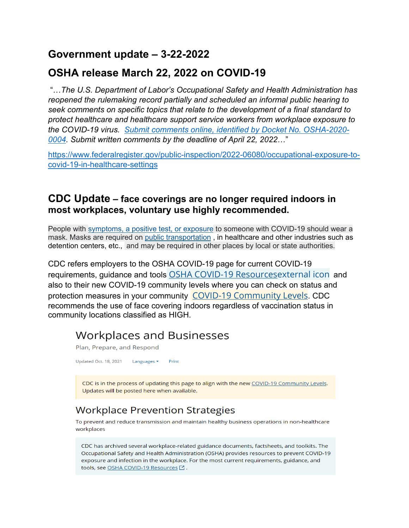# **Government update – 3-22-2022**

# **OSHA release March 22, 2022 on COVID-19**

"…*The U.S. Department of Labor's Occupational Safety and Health Administration has reopened the rulemaking record partially and scheduled an informal public hearing to seek comments on specific topics that relate to the development of a final standard to protect healthcare and healthcare support service workers from workplace exposure to the COVID-19 virus. [Submit comments online, identified by Docket No. OSHA-2020-](https://www.regulations.gov/) [0004.](https://www.regulations.gov/) Submit written comments by the deadline of April 22, 2022*…"

[https://www.federalregister.gov/public-inspection/2022-06080/occupational-exposure-to](https://www.federalregister.gov/public-inspection/2022-06080/occupational-exposure-to-covid-19-in-healthcare-settings)[covid-19-in-healthcare-settings](https://www.federalregister.gov/public-inspection/2022-06080/occupational-exposure-to-covid-19-in-healthcare-settings)

#### **CDC Update – face coverings are no longer required indoors in most workplaces, voluntary use highly recommended.**

People with [symptoms, a positive test, or exposure](https://www.cdc.gov/coronavirus/2019-ncov/your-health/quarantine-isolation.html) to someone with COVID-19 should wear a mask. Masks are required on [public transportation](https://www.cdc.gov/coronavirus/2019-ncov/travelers/face-masks-public-transportation.html) , in healthcare and other industries such as detention centers, etc., and may be required in other places by local or state authorities.

CDC refers employers to the OSHA COVID-19 page for current COVID-19 requirements, guidance and tools [OSHA COVID-19 Resourcesexternal](https://www.osha.gov/coronavirus) icon and also to their new COVID-19 community levels where you can check on status and protection measures in your community [COVID-19 Community Levels](https://www.cdc.gov/coronavirus/2019-ncov/your-health/covid-by-county.html). CDC recommends the use of face covering indoors regardless of vaccination status in community locations classified as HIGH.

# **Workplaces and Businesses**

Plan, Prepare, and Respond

Updated Oct. 18, 2021 Languages  $\blacktriangleright$ Print

CDC is in the process of updating this page to align with the new COVID-19 Community Levels. Updates will be posted here when available.

# **Workplace Prevention Strategies**

To prevent and reduce transmission and maintain healthy business operations in non-healthcare workplaces

CDC has archived several workplace-related guidance documents, factsheets, and toolkits. The Occupational Safety and Health Administration (OSHA) provides resources to prevent COVID-19 exposure and infection in the workplace. For the most current requirements, guidance, and tools, see OSHA COVID-19 Resources [2].